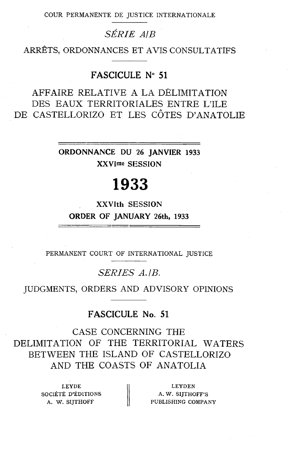COUR PERMANENTE DE JUSTICE INTERNATIONALE

## *SÉRIE AIB*

ARRÊTS, ORDONNANCES ET AVIS CONSULTATIFS

### FASCICULE **No** 51

AFFAIRE RELATIVE A LA DÉLIMITATION DES EAUX TERRITORIALES ENTRE L'ILE DE CASTELLORIZO ET LES CÔTES D'ANATOLIE

> ORDONNANCE DU 26 JANVIER 1933 **XXVlme SESSION**

# 1933

### **XXVIth SESSION ORDER** OF JANUARY 26th, 1933

PERMANENT COURT OF INTERNATIONAL JUSTICE

*SERIES A. /B.* 

JUDGMENTS, ORDERS AND ADVISORY OPINIONS

### FASCICULE No. 51

CASE CONCERNING THE DELIMITATION OF THE TERRITORIAL WATERS BETWEEN THE ISLAND OF CASTELLORIZO AND THE COASTS OF ANATOLIA

> LEYDE société d'éditions  $\|\cdot\|$  A. W. SIJTHOFF'S

LEYDE LEYDEN<br> **A. W. SIJTHOFF A. W. SIJTHOFF'S**<br>
A. W. SIJTHOFF PUBLISHING COMPANY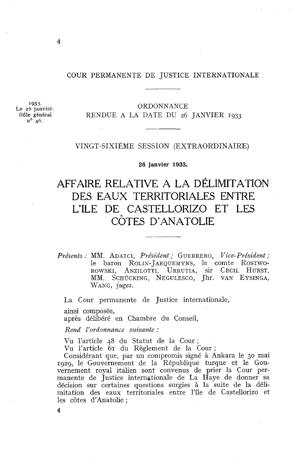#### COUR PERMANENTE DE JUSTICE INTERNATIONALE

**1933.**  Le 26 janvier. Rôle général<br> $n^{\circ}$  46.

#### ORDONNANCE RENDUE A LA DATE DU 26 JANVIER 1933

#### VINGT-SIXTÈME SESSION (EXTRAORDINAIRE)

**26 janvier 1933.** 

## AFFAlRE RELATIVE A LA DÉLIMITATION DES EAUX TERRITORIALES ENTRE L'ILE DE CASTELLORIZO ET LES CÔTES D'ANATOLIE

*Présents* : MM. ADATCI, *Président* ; GUERRERO, *Vice-Président* ; le baron ROLIN-JAEQUEMYNS, le comte ROSTWO-ROWSKI, ANZILOTTI, URRUTIA, sir CECIL HURST, MM. SCHÜCKING, NEGULESCO, Jhr. VAN EYSINGA, WANG, *juges.* 

La Cour permanente de Justice internationale,

ainsi composée,

après délibéré en Chambre du Conseil,

 $Rend$  *l'ordonnance suivante :* 

Vu l'article 48 du Statut de la Cour;

Vu l'article 61 du Règlement de la Cour;

Considérant que, par un compromis signé à Ankara le 30 mai 1929, le Gouvernement de la République turque et le Gouvernement royal italien sont convenus de prier la Cour permanente de Justice internationale de La Haye de donner sa décision sur certaines questions surgies à la suite de la délimitation des eaux territoriales entre l'île de Castellorizo et les côtes d'Anatolie ;

4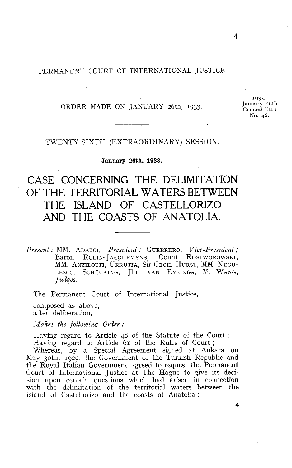#### PERMANENT COURT OF INTERNATIONAL JUSTICE

ORDER MADE ON JANUARY 26th, **1933.** 

**1933. January 26th. Generai** list : **No. 46.** 

4

#### TWENTY-SIXTH (EXTRAORDINARY) SESSION.

#### **January 26th, 1933.**

## CASE CONCERNING THE DELIMITATION OF THE TERRITORIAL WATERS BETWEEN THE ISLAND OF CASTELLORIZO AND THE COASTS OF ANATOLIA.

*Present* : MM. ADATCI, *President* ; GUERRERO, *Vice-President* ; ROLIN-JAEQUEMYNS, Count ROSTWOROWSKI, MM. ANZILOTTI, URRUTIA, Sir CECIL HURST, MM. NEGU-LESCO, SCHÜCKING, Jhr. VAN EYSINGA, M. WANG, *Judges.* 

The Permanent Court of International Justice,

composed as above, after deliberation,

 $Makes$  the following Order :

Having regard to Article 48 of the Statute of the Court ; Having regard to Article 61 of the Rules of Court ;

Whereas, by a Special Agreement signed at Ankara on May 3oth, **1929,** the Government of the Turkish Republic and the Royal Italian Government agreed to request the Permanent Court of International Justice at The Hague to give its decision upon certain questions which had arisen in connection with the delimitation of the territorial waters between the island of Castellorizo and the coasts of Anatolia ;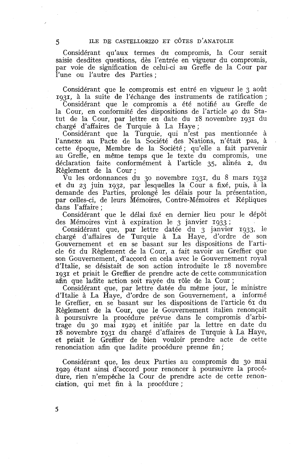Considérant qu'aux termes du compromis, la Cour serait saisie desdites questions, dès l'entrée en vigueur du compromis, par voie de signification de celui-ci au Greffe de la Cour par l'une ou l'autre des Parties ;

Considérant que le compromis est entré en vigueur le 3 août 1931, à la suite de l'échange des instruments de ratification ;

Considérant que le compromis a été notifié au Greffe de la Cour, en conformité des dispositions de l'article 40 du Statut de la Cour, par lettre en date du 18 novembre 1931 du chargé d'affaires de Turquie à La Haye ;

Considérant que la Turquie, qui n'est pas mentionnée à l'annexe au Pacte de la Société des Nations, n'était pas, à cette époque, Membre de la Société; qu'elle a fait parvenir au Greffe, en même temps que le texte du compromis, une déclaration faite conformément à l'article 35, alinéa 2, du Règlement de la Cour ;

Vu les ordonnances du 30 novembre 1931, du 8 mars 1932 et du 23 juin 1932, par lesquelles la Cour a fixé, puis, à la demande des Parties, prolongé les délais pour la présentation, par celles-ci, de leurs Mémoires, Contre-Mémoires et Répliques dans l'affaire ;

Considérant que le délai fixé en dernier lieu pour le dépôt des Mémoires vint à expiration le 3 janvier 1933 ;

Considérant que, par lettre datée du 3 janvier 1933, le chargé d'affaires de Turquie à La Haye, d'ordre de son Gouvernement et en se basant sur les dispositions de l'article 61 du Règlement de la Cour, a fait savoir au Greffier que son Gouvernement, d'accord en cela avec le Gouvernement royal d'Italie, se désistait de son action introduite le 18 novembre 1931 et priait le Greffier de prendre acte de cette communication afin que ladite action soit rayée du rôle de la Cour ;

Considérant que, par lettre datée du même jour, le ministre d'Italie à La Haye, d'ordre de son Gouvernement, a informé le Greffier, en se basant sur les dispositions de l'article 61 du Règlement de la Cour, que le Gouvernement italien renonçait à poursuivre la procédure prévue dans le compromis d'arbitrage du 30 mai 1929 et initiée par la lettre en date du 18 novembre 1931 du chargé d'affaires de Turquie à La Haye, et priait le Greffier de bien vouloir prendre acte de cette renonciation afin que ladite procédure prenne fin;

Considérant que, les deux Parties au compromis du 30 mai 1929 étant ainsi d'accord pour renoncer à poursuivre la procédure, rien n'empêche la Cour de prendre acte de cette renonciation, qui met fin à la procédure ;

 $\overline{5}$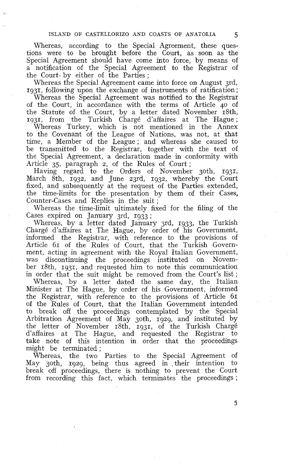#### ISLAND OF CASTELLORIZO AND COASTS OF ANATOLIA *5*

Whereas, according to the Special Agreement, these questions were to be brought before the Court, as soon as the Special Agreement should have come into force, by means of a notification of the Special Agreement to the Registrar of the Court by either of the Parties;

Whereas the Special Agreement came into force on August grd, 1931, following upon the exchange of instruments of ratification ;

Whereas the Special Agreement was notified to the Registrar of the Court, in accordance with the terms of Article 40 of the Statute of the Court, by a letter dated November 18th, 1931, from the Turkish Chargé d'affaires at The Hague;

Whereas Turkey, which is not mentioned in the Annex to the Covenant of the League of Nations, was not, at that time, a Member of the League ; and whereas she caused to be transmitted to the Registrar, together with the text of the Special Agreement, a declaration made in conformity with Article 35, paragraph 2, of the Rules of Court ;

Having regard to the Orders of November 3oth, 1931, March 8th, 1932, and June z3rd, 1932, whereby the Court fixed, and subsequently at the request of the Parties extended, the time-limits for the presentation by them of their Cases, Counter-Cases and Replies in the suit ;

Whereas the time-limit ultimately fixed for the filing of the Cases expired on January 3rd, 1933 ;

Whereas, by a letter dated January 3rd, 1933, the Turkish Chargé d'affaires at The Hague, by order of his Government, informed the Registrar, with reference to the provisions of Article 61 of the Rules of Court, that the Turkish Government, acting in agreement with the Royal Italian Government, was discontinuing the proceedings instituted on November 18th, 1931, and requested him to note this communication in order that the suit might be removed from the Court's list;

Whereas, by a letter dated the same day, the Italian Minister at The Hague, by order of his Government, informed the Registrar, with reference to the provisions of Article 61 of the Rules of Court, that the Italian Government intended to break off the proceedings contemplated by the Special Arbitration Agreement of May 30th, 1929, and instituted by the letter of November 18th, 1931, of the Turkish Chargé d'affaires at The Hague, and requested the Registrar to take note of this intention in order that the proceedings might be terminated ;

Whereas, the two Parties to the Special Agreement of May 30th, 1929, being thus agreed in their intention to break off proceedings, there is nothing to prevent the Court from recording this fact, which terminates the proceedings ;

5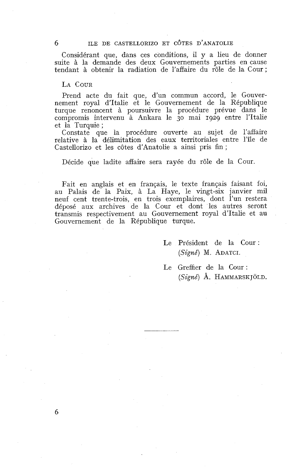Considérant que, dans ces conditions, il y a lieu de donner suite à la demande des deux Gouvernements parties en cause tendant à obtenir la radiation de l'affaire du rôle de la Cour;

#### LA COUR

Prend acte du fait que, d'un commun accord, le Gouvernement royal d'Italie et le Gouvernement de la République turque renoncent à poursuivre la procédure prévue dans le compromis intervenu à Ankara le 30 mai 1929 entre l'Italie et la Turquie ;

Constate que la procédure ouverte au sujet de l'affaire relative à la délimitation des eaux territoriales entre l'île de Castellorizo et les côtes d'Anatolie a ainsi pris fin ;

Décide que ladite affaire sera rayée du rôle de la Cour.

Fait en anglais et en français, le texte français faisant foi, au Palais de la Paix, à La Haye, le vingt-six janvier mil neuf cent trente-trois, en trois exemplaires, dont l'un restera déposé aux archives de la Cour et dont les autres seront transmis respectivement au Gouvernement royal d'Italie et au Gouvernement de la République turque.

> Le Président de la Cour: *(Signé)* M. ADATCI.

Le Greffier de la Cour : *(Signé)* A. HAMMARSK JOLD.